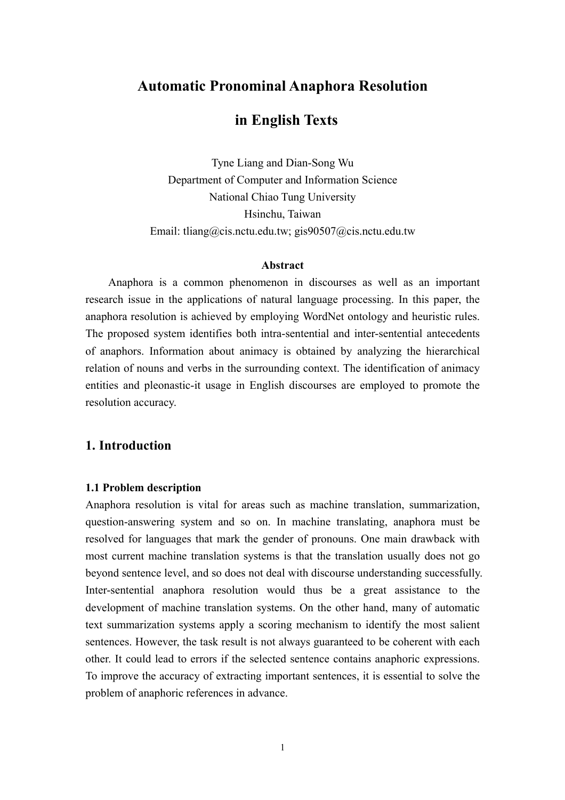# **Automatic Pronominal Anaphora Resolution**

# **in English Texts**

Tyne Liang and Dian-Song Wu Department of Computer and Information Science National Chiao Tung University Hsinchu, Taiwan Email: tliang@cis.nctu.edu.tw; gis90507@cis.nctu.edu.tw

### **Abstract**

Anaphora is a common phenomenon in discourses as well as an important research issue in the applications of natural language processing. In this paper, the anaphora resolution is achieved by employing WordNet ontology and heuristic rules. The proposed system identifies both intra-sentential and inter-sentential antecedents of anaphors. Information about animacy is obtained by analyzing the hierarchical relation of nouns and verbs in the surrounding context. The identification of animacy entities and pleonastic-it usage in English discourses are employed to promote the resolution accuracy.

## **1. Introduction**

#### **1.1 Problem description**

Anaphora resolution is vital for areas such as machine translation, summarization, question-answering system and so on. In machine translating, anaphora must be resolved for languages that mark the gender of pronouns. One main drawback with most current machine translation systems is that the translation usually does not go beyond sentence level, and so does not deal with discourse understanding successfully. Inter-sentential anaphora resolution would thus be a great assistance to the development of machine translation systems. On the other hand, many of automatic text summarization systems apply a scoring mechanism to identify the most salient sentences. However, the task result is not always guaranteed to be coherent with each other. It could lead to errors if the selected sentence contains anaphoric expressions. To improve the accuracy of extracting important sentences, it is essential to solve the problem of anaphoric references in advance.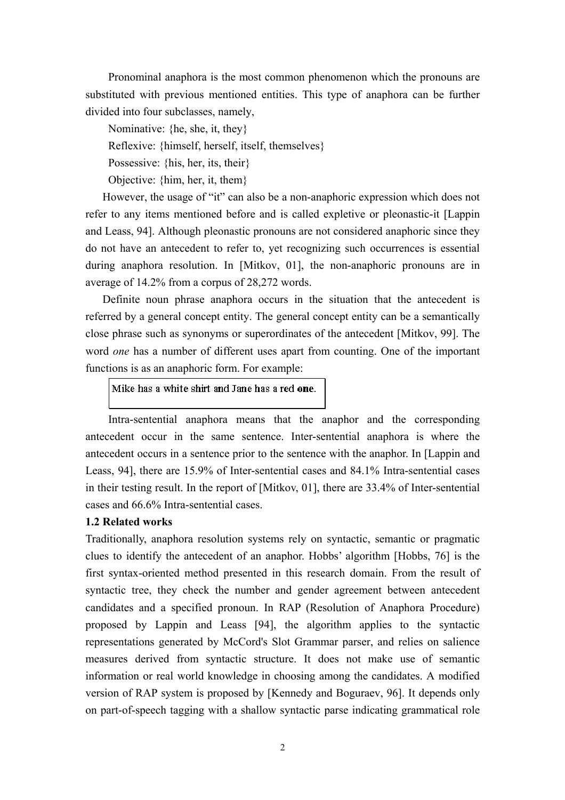Pronominal anaphora is the most common phenomenon which the pronouns are substituted with previous mentioned entities. This type of anaphora can be further divided into four subclasses, namely,

Nominative: {he, she, it, they}

Reflexive: {himself, herself, itself, themselves}

Possessive: {his, her, its, their}

Objective: {him, her, it, them}

However, the usage of "it" can also be a non-anaphoric expression which does not refer to any items mentioned before and is called expletive or pleonastic-it [Lappin and Leass, 94]. Although pleonastic pronouns are not considered anaphoric since they do not have an antecedent to refer to, yet recognizing such occurrences is essential during anaphora resolution. In [Mitkov, 01], the non-anaphoric pronouns are in average of 14.2% from a corpus of 28,272 words.

Definite noun phrase anaphora occurs in the situation that the antecedent is referred by a general concept entity. The general concept entity can be a semantically close phrase such as synonyms or superordinates of the antecedent [Mitkov, 99]. The word *one* has a number of different uses apart from counting. One of the important functions is as an anaphoric form. For example:

Mike has a white shirt and Jane has a red one.

Intra-sentential anaphora means that the anaphor and the corresponding antecedent occur in the same sentence. Inter-sentential anaphora is where the antecedent occurs in a sentence prior to the sentence with the anaphor. In [Lappin and Leass, 94], there are 15.9% of Inter-sentential cases and 84.1% Intra-sentential cases in their testing result. In the report of [Mitkov, 01], there are 33.4% of Inter-sentential cases and 66.6% Intra-sentential cases.

### **1.2 Related works**

Traditionally, anaphora resolution systems rely on syntactic, semantic or pragmatic clues to identify the antecedent of an anaphor. Hobbs' algorithm [Hobbs, 76] is the first syntax-oriented method presented in this research domain. From the result of syntactic tree, they check the number and gender agreement between antecedent candidates and a specified pronoun. In RAP (Resolution of Anaphora Procedure) proposed by Lappin and Leass [94], the algorithm applies to the syntactic representations generated by McCord's Slot Grammar parser, and relies on salience measures derived from syntactic structure. It does not make use of semantic information or real world knowledge in choosing among the candidates. A modified version of RAP system is proposed by [Kennedy and Boguraev, 96]. It depends only on part-of-speech tagging with a shallow syntactic parse indicating grammatical role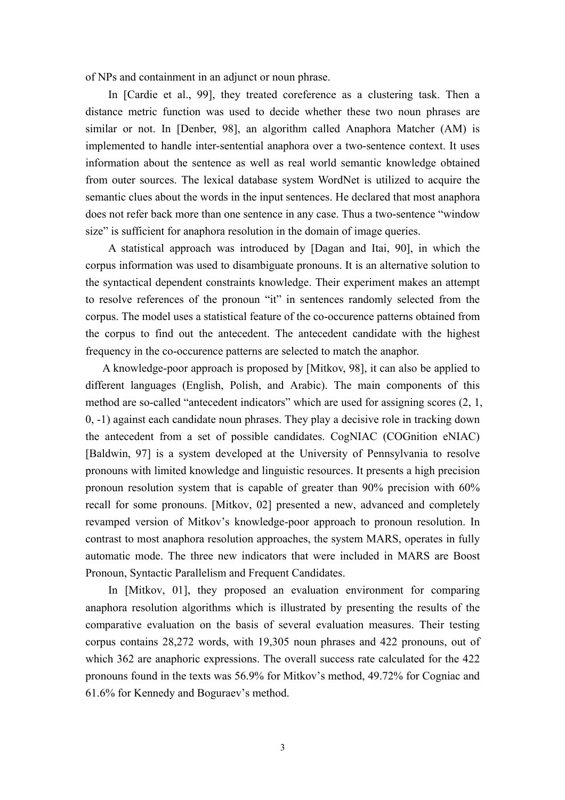of NPs and containment in an adjunct or noun phrase.

In [Cardie et al., 99], they treated coreference as a clustering task. Then a distance metric function was used to decide whether these two noun phrases are similar or not. In [Denber, 98], an algorithm called Anaphora Matcher (AM) is implemented to handle inter-sentential anaphora over a two-sentence context. It uses information about the sentence as well as real world semantic knowledge obtained from outer sources. The lexical database system WordNet is utilized to acquire the semantic clues about the words in the input sentences. He declared that most anaphora does not refer back more than one sentence in any case. Thus a two-sentence "window size" is sufficient for anaphora resolution in the domain of image queries.

A statistical approach was introduced by [Dagan and Itai, 90], in which the corpus information was used to disambiguate pronouns. It is an alternative solution to the syntactical dependent constraints knowledge. Their experiment makes an attempt to resolve references of the pronoun "it" in sentences randomly selected from the corpus. The model uses a statistical feature of the co-occurence patterns obtained from the corpus to find out the antecedent. The antecedent candidate with the highest frequency in the co-occurence patterns are selected to match the anaphor.

A knowledge-poor approach is proposed by [Mitkov, 98], it can also be applied to different languages (English, Polish, and Arabic). The main components of this method are so-called "antecedent indicators" which are used for assigning scores (2, 1, 0, -1) against each candidate noun phrases. They play a decisive role in tracking down the antecedent from a set of possible candidates. CogNIAC (COGnition eNIAC) [Baldwin, 97] is a system developed at the University of Pennsylvania to resolve pronouns with limited knowledge and linguistic resources. It presents a high precision pronoun resolution system that is capable of greater than 90% precision with 60% recall for some pronouns. [Mitkov, 02] presented a new, advanced and completely revamped version of Mitkov's knowledge-poor approach to pronoun resolution. In contrast to most anaphora resolution approaches, the system MARS, operates in fully automatic mode. The three new indicators that were included in MARS are Boost Pronoun, Syntactic Parallelism and Frequent Candidates.

In [Mitkov, 01], they proposed an evaluation environment for comparing anaphora resolution algorithms which is illustrated by presenting the results of the comparative evaluation on the basis of several evaluation measures. Their testing corpus contains 28,272 words, with 19,305 noun phrases and 422 pronouns, out of which 362 are anaphoric expressions. The overall success rate calculated for the 422 pronouns found in the texts was 56.9% for Mitkov's method, 49.72% for Cogniac and 61.6% for Kennedy and Boguraev's method.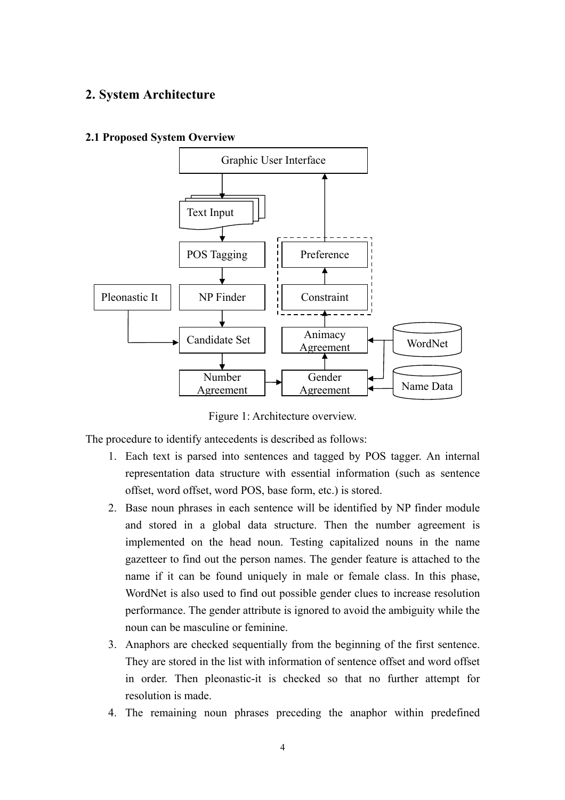## **2. System Architecture**

### **2.1 Proposed System Overview**



Figure 1: Architecture overview.

The procedure to identify antecedents is described as follows:

- 1. Each text is parsed into sentences and tagged by POS tagger. An internal representation data structure with essential information (such as sentence offset, word offset, word POS, base form, etc.) is stored.
- 2. Base noun phrases in each sentence will be identified by NP finder module and stored in a global data structure. Then the number agreement is implemented on the head noun. Testing capitalized nouns in the name gazetteer to find out the person names. The gender feature is attached to the name if it can be found uniquely in male or female class. In this phase, WordNet is also used to find out possible gender clues to increase resolution performance. The gender attribute is ignored to avoid the ambiguity while the noun can be masculine or feminine.
- 3. Anaphors are checked sequentially from the beginning of the first sentence. They are stored in the list with information of sentence offset and word offset in order. Then pleonastic-it is checked so that no further attempt for resolution is made.
- 4. The remaining noun phrases preceding the anaphor within predefined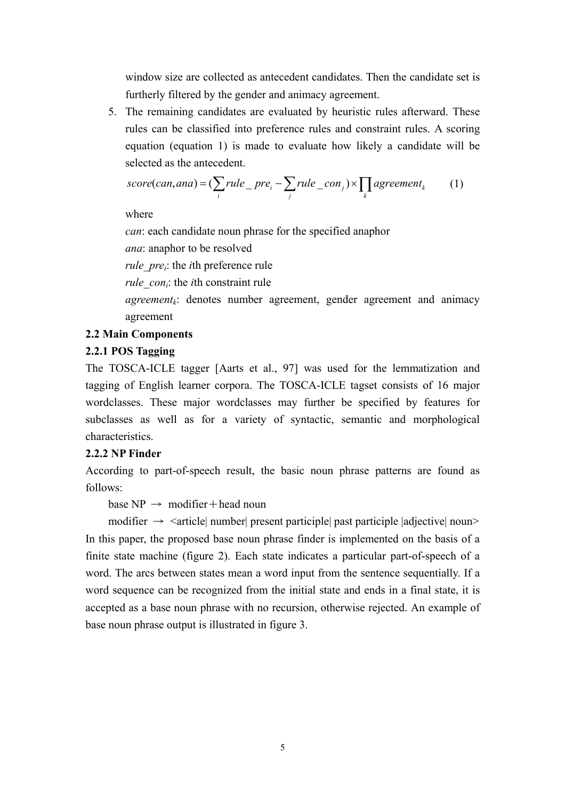window size are collected as antecedent candidates. Then the candidate set is furtherly filtered by the gender and animacy agreement.

5. The remaining candidates are evaluated by heuristic rules afterward. These rules can be classified into preference rules and constraint rules. A scoring equation (equation 1) is made to evaluate how likely a candidate will be selected as the antecedent.

$$
score(can,ana) = (\sum_{i} rule\_pre_i - \sum_{j} rule\_con_j) \times \prod_{k} agreement_k \qquad (1)
$$

where

*can*: each candidate noun phrase for the specified anaphor

*ana*: anaphor to be resolved

*rule prei*: the *i*th preference rule

*rule con<sub>i</sub>*: the *i*th constraint rule

 $agreement_k$ : denotes number agreement, gender agreement and animacy agreement

### **2.2 Main Components**

### **2.2.1 POS Tagging**

The TOSCA-ICLE tagger [Aarts et al., 97] was used for the lemmatization and tagging of English learner corpora. The TOSCA-ICLE tagset consists of 16 major wordclasses. These major wordclasses may further be specified by features for subclasses as well as for a variety of syntactic, semantic and morphological characteristics.

### **2.2.2 NP Finder**

According to part-of-speech result, the basic noun phrase patterns are found as follows:

base  $NP \rightarrow \text{modifier} + \text{head noun}$ 

modifier  $\rightarrow$   $\leq$  article| number| present participle| past participle |adjective| noun> In this paper, the proposed base noun phrase finder is implemented on the basis of a finite state machine (figure 2). Each state indicates a particular part-of-speech of a word. The arcs between states mean a word input from the sentence sequentially. If a word sequence can be recognized from the initial state and ends in a final state, it is accepted as a base noun phrase with no recursion, otherwise rejected. An example of base noun phrase output is illustrated in figure 3.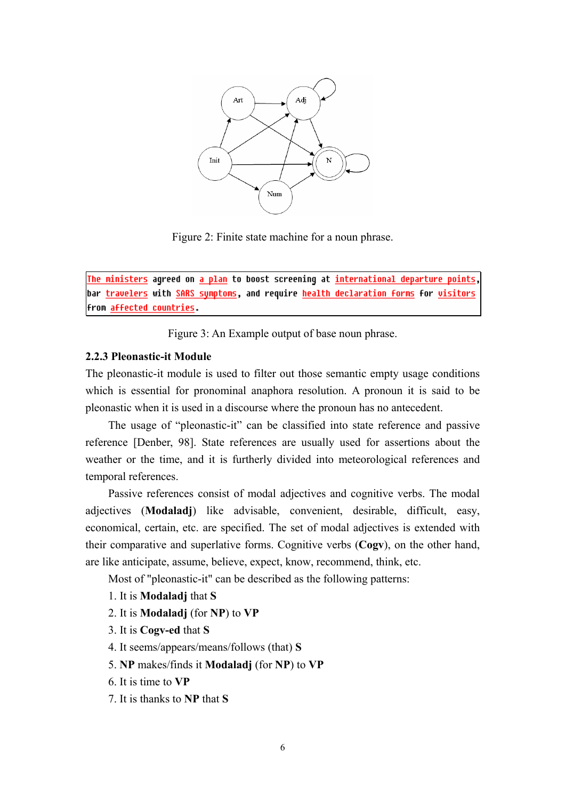

Figure 2: Finite state machine for a noun phrase.

The ministers agreed on a plan to boost screening at international departure points, bar travelers with SARS symptoms, and require health declaration forms for visitors **From affected countries.** 

Figure 3: An Example output of base noun phrase.

#### **2.2.3 Pleonastic-it Module**

The pleonastic-it module is used to filter out those semantic empty usage conditions which is essential for pronominal anaphora resolution. A pronoun it is said to be pleonastic when it is used in a discourse where the pronoun has no antecedent.

The usage of "pleonastic-it" can be classified into state reference and passive reference [Denber, 98]. State references are usually used for assertions about the weather or the time, and it is furtherly divided into meteorological references and temporal references.

Passive references consist of modal adjectives and cognitive verbs. The modal adjectives (**Modaladj**) like advisable, convenient, desirable, difficult, easy, economical, certain, etc. are specified. The set of modal adjectives is extended with their comparative and superlative forms. Cognitive verbs (**Cogv**), on the other hand, are like anticipate, assume, believe, expect, know, recommend, think, etc.

Most of "pleonastic-it" can be described as the following patterns:

- 1. It is **Modaladj** that **S**
- 2. It is **Modaladj** (for **NP**) to **VP**
- 3. It is **Cogv-ed** that **S**
- 4. It seems/appears/means/follows (that) **S**
- 5. **NP** makes/finds it **Modaladj** (for **NP**) to **VP**
- 6. It is time to **VP**
- 7. It is thanks to **NP** that **S**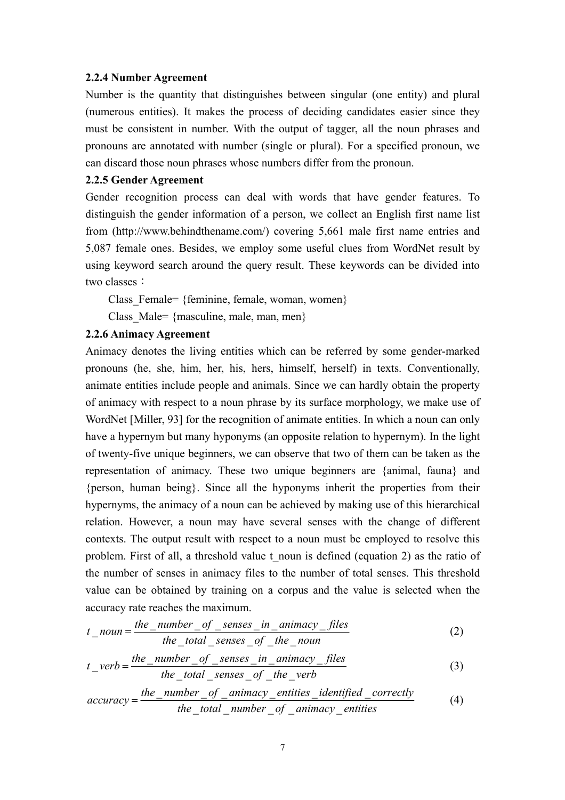#### **2.2.4 Number Agreement**

Number is the quantity that distinguishes between singular (one entity) and plural (numerous entities). It makes the process of deciding candidates easier since they must be consistent in number. With the output of tagger, all the noun phrases and pronouns are annotated with number (single or plural). For a specified pronoun, we can discard those noun phrases whose numbers differ from the pronoun.

#### **2.2.5 Gender Agreement**

Gender recognition process can deal with words that have gender features. To distinguish the gender information of a person, we collect an English first name list from (http://www.behindthename.com/) covering 5,661 male first name entries and 5,087 female ones. Besides, we employ some useful clues from WordNet result by using keyword search around the query result. These keywords can be divided into two classes:

Class Female= {feminine, female, woman, women}

Class Male= {masculine, male, man, men}

#### **2.2.6 Animacy Agreement**

Animacy denotes the living entities which can be referred by some gender-marked pronouns (he, she, him, her, his, hers, himself, herself) in texts. Conventionally, animate entities include people and animals. Since we can hardly obtain the property of animacy with respect to a noun phrase by its surface morphology, we make use of WordNet [Miller, 93] for the recognition of animate entities. In which a noun can only have a hypernym but many hyponyms (an opposite relation to hypernym). In the light of twenty-five unique beginners, we can observe that two of them can be taken as the representation of animacy. These two unique beginners are {animal, fauna} and {person, human being}. Since all the hyponyms inherit the properties from their hypernyms, the animacy of a noun can be achieved by making use of this hierarchical relation. However, a noun may have several senses with the change of different contexts. The output result with respect to a noun must be employed to resolve this problem. First of all, a threshold value t\_noun is defined (equation 2) as the ratio of the number of senses in animacy files to the number of total senses. This threshold value can be obtained by training on a corpus and the value is selected when the accuracy rate reaches the maximum.

$$
t\_noun = \frac{the\_number\_of\_senses\_in\_animacy\_files}{the\_total\_senses\_of\_the\_noun}
$$
 (2)

$$
t\_verb = \frac{the\_number\_of\_senses\_in\_animacy_{files}}{the\_total\_senses\_of\_the\_verb}
$$
(3)

$$
accuracy = \frac{the_number_of_{\text{}}of_{\text{}}=animacy_{\text{}}=mitities_{\text{}}=identified_{\text{}}=correctly}{the_{\text{}}total_{\text{}}=number_{\text{}}of_{\text{}}=animacy_{\text{}}=entities}
$$
(4)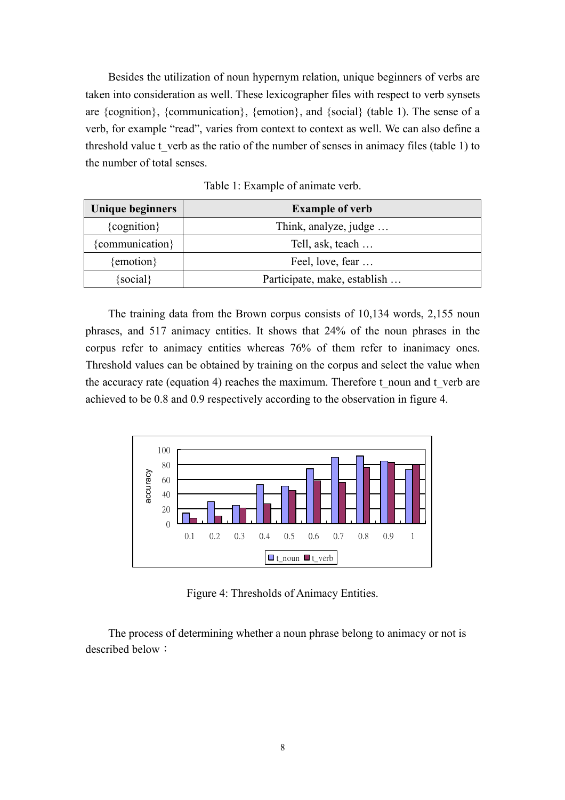Besides the utilization of noun hypernym relation, unique beginners of verbs are taken into consideration as well. These lexicographer files with respect to verb synsets are {cognition}, {communication}, {emotion}, and {social} (table 1). The sense of a verb, for example "read", varies from context to context as well. We can also define a threshold value t verb as the ratio of the number of senses in animacy files (table 1) to the number of total senses.

| Unique beginners | <b>Example of verb</b>       |  |  |
|------------------|------------------------------|--|--|
| ${cognition}$    | Think, analyze, judge        |  |  |
| {communication}  | Tell, ask, teach             |  |  |
| {emotion}        | Feel, love, fear             |  |  |
| $\{social\}$     | Participate, make, establish |  |  |

Table 1: Example of animate verb.

The training data from the Brown corpus consists of 10,134 words, 2,155 noun phrases, and 517 animacy entities. It shows that 24% of the noun phrases in the corpus refer to animacy entities whereas 76% of them refer to inanimacy ones. Threshold values can be obtained by training on the corpus and select the value when the accuracy rate (equation 4) reaches the maximum. Therefore t\_noun and t\_verb are achieved to be 0.8 and 0.9 respectively according to the observation in figure 4.



Figure 4: Thresholds of Animacy Entities.

The process of determining whether a noun phrase belong to animacy or not is described below: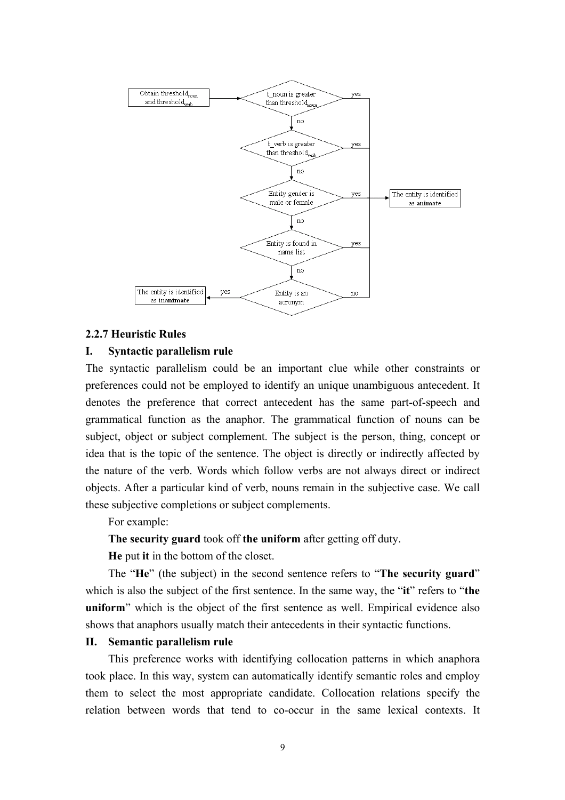

#### **2.2.7 Heuristic Rules**

### **I. Syntactic parallelism rule**

The syntactic parallelism could be an important clue while other constraints or preferences could not be employed to identify an unique unambiguous antecedent. It denotes the preference that correct antecedent has the same part-of-speech and grammatical function as the anaphor. The grammatical function of nouns can be subject, object or subject complement. The subject is the person, thing, concept or idea that is the topic of the sentence. The object is directly or indirectly affected by the nature of the verb. Words which follow verbs are not always direct or indirect objects. After a particular kind of verb, nouns remain in the subjective case. We call these subjective completions or subject complements.

For example:

**The security guard** took off **the uniform** after getting off duty.

**He** put **it** in the bottom of the closet.

The "**He**" (the subject) in the second sentence refers to "**The security guard**" which is also the subject of the first sentence. In the same way, the "**it**" refers to "**the uniform**" which is the object of the first sentence as well. Empirical evidence also shows that anaphors usually match their antecedents in their syntactic functions.

#### **II. Semantic parallelism rule**

This preference works with identifying collocation patterns in which anaphora took place. In this way, system can automatically identify semantic roles and employ them to select the most appropriate candidate. Collocation relations specify the relation between words that tend to co-occur in the same lexical contexts. It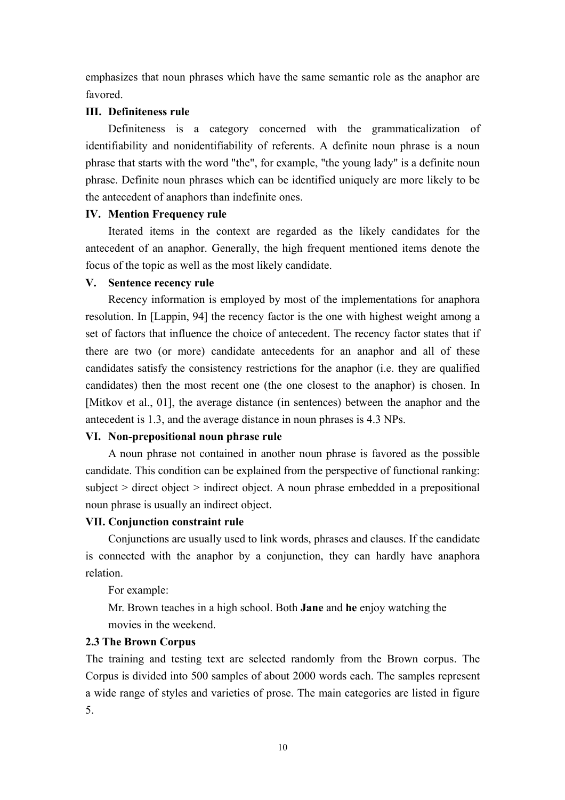emphasizes that noun phrases which have the same semantic role as the anaphor are favored.

### **III. Definiteness rule**

Definiteness is a category concerned with the grammaticalization of identifiability and nonidentifiability of referents. A definite noun phrase is a noun phrase that starts with the word "the", for example, "the young lady" is a definite noun phrase. Definite noun phrases which can be identified uniquely are more likely to be the antecedent of anaphors than indefinite ones.

## **IV. Mention Frequency rule**

Iterated items in the context are regarded as the likely candidates for the antecedent of an anaphor. Generally, the high frequent mentioned items denote the focus of the topic as well as the most likely candidate.

## **V. Sentence recency rule**

Recency information is employed by most of the implementations for anaphora resolution. In [Lappin, 94] the recency factor is the one with highest weight among a set of factors that influence the choice of antecedent. The recency factor states that if there are two (or more) candidate antecedents for an anaphor and all of these candidates satisfy the consistency restrictions for the anaphor (i.e. they are qualified candidates) then the most recent one (the one closest to the anaphor) is chosen. In [Mitkov et al., 01], the average distance (in sentences) between the anaphor and the antecedent is 1.3, and the average distance in noun phrases is 4.3 NPs.

## **VI. Non-prepositional noun phrase rule**

A noun phrase not contained in another noun phrase is favored as the possible candidate. This condition can be explained from the perspective of functional ranking: subject > direct object > indirect object. A noun phrase embedded in a prepositional noun phrase is usually an indirect object.

## **VII. Conjunction constraint rule**

Conjunctions are usually used to link words, phrases and clauses. If the candidate is connected with the anaphor by a conjunction, they can hardly have anaphora relation.

For example:

Mr. Brown teaches in a high school. Both **Jane** and **he** enjoy watching the movies in the weekend.

## **2.3 The Brown Corpus**

The training and testing text are selected randomly from the Brown corpus. The Corpus is divided into 500 samples of about 2000 words each. The samples represent a wide range of styles and varieties of prose. The main categories are listed in figure 5.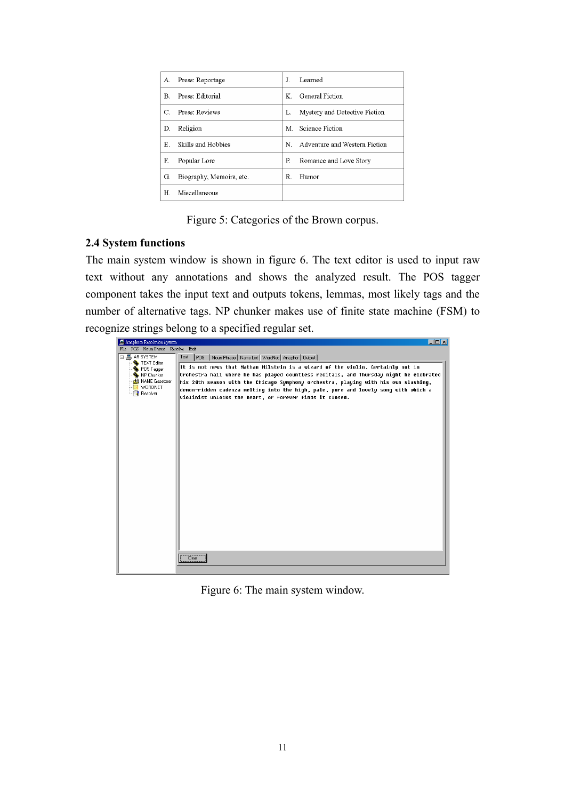| А. | Press: Reportage         | Л  | Learned                       |
|----|--------------------------|----|-------------------------------|
| B. | Press: Editorial         | K  | General Fiction               |
|    | Press: Reviews           | L. | Mystery and Detective Fiction |
| D. | Religion                 | M. | Science Fiction               |
| Е. | Skills and Hobbies       | N. | Adventure and Western Fiction |
| F. | Popular Lore             | P. | Romance and Love Story        |
| G. | Biography, Memoirs, etc. | R. | Humor                         |
| H  | Miscellaneous            |    |                               |

Figure 5: Categories of the Brown corpus.

### **2.4 System functions**

The main system window is shown in figure 6. The text editor is used to input raw text without any annotations and shows the analyzed result. The POS tagger component takes the input text and outputs tokens, lemmas, most likely tags and the number of alternative tags. NP chunker makes use of finite state machine (FSM) to recognize strings belong to a specified regular set.

| Anaphora Resolution System        | $\Box$ o $\mathbf{X}$                                                                  |
|-----------------------------------|----------------------------------------------------------------------------------------|
| File POS Noun Phrase Resolve Exit |                                                                                        |
| 日- AR SYSTEM                      | Text<br>POS   Noun Phrase   Name List   WordNet   Anaphor   Output                     |
| TEXT Editor                       | It is not news that Nathan Milstein is a wizard of the violin. Certainly not in        |
| POS Tagger<br>NP Chunker          | Orchestra hall where he has played countless recitals, and Thursday night he elebrated |
| A NAME Gazetteer                  | his 20th season with the Chicago Symphony orchestra, playing with his own slashing,    |
| WORDNET                           | demon-ridden cadenza melting into the high, pale, pure and lovely song with which a    |
| Resolver                          | violinist unlocks the heart, or forever finds it closed.                               |
|                                   |                                                                                        |
|                                   |                                                                                        |
|                                   |                                                                                        |
|                                   |                                                                                        |
|                                   |                                                                                        |
|                                   |                                                                                        |
|                                   |                                                                                        |
|                                   |                                                                                        |
|                                   |                                                                                        |
|                                   |                                                                                        |
|                                   |                                                                                        |
|                                   |                                                                                        |
|                                   |                                                                                        |
|                                   |                                                                                        |
|                                   |                                                                                        |
|                                   |                                                                                        |
|                                   |                                                                                        |
|                                   |                                                                                        |
|                                   |                                                                                        |
|                                   | Clear                                                                                  |
|                                   |                                                                                        |

Figure 6: The main system window.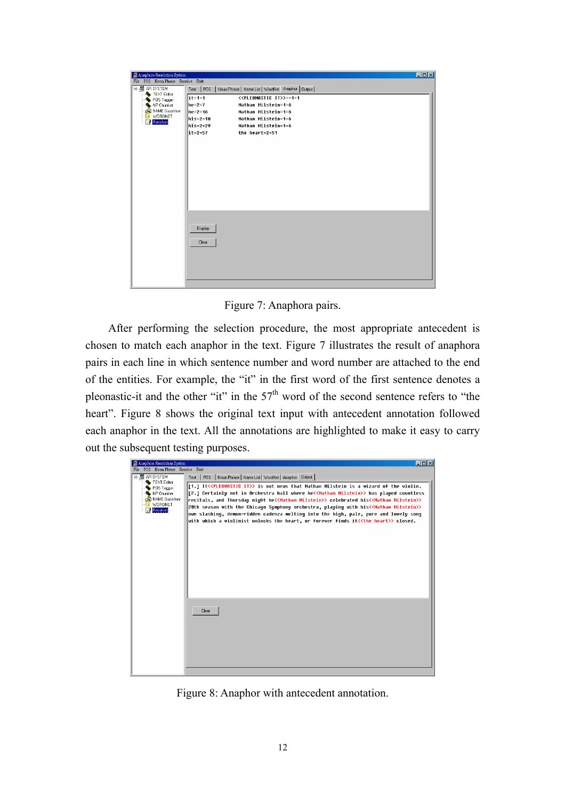| Anaphora Resolution System        |                                                                 | $\Box$ D $\Box$                             |  |  |
|-----------------------------------|-----------------------------------------------------------------|---------------------------------------------|--|--|
| File POS Noun Phrase Resolve Exit |                                                                 |                                             |  |  |
| 日- 5 AR SYSTEM<br>TEXT Editor     | Text   POS   Noun Phrase   Name List   WordNet Anaphor   Output |                                             |  |  |
| POS Tagger                        | $\sqrt{1}t=1=1$                                                 | < <pleonastic it="">&gt; =-1=1</pleonastic> |  |  |
| NP Chunker                        | $he=2=7$                                                        | Nathan Milstein=1=6                         |  |  |
| day NAME Gazetteer                | $he=2=16$                                                       | Nathan Milstein=1=6                         |  |  |
| WORDNET<br>獅<br>Resolver          | $\ln i$ s=2=18                                                  | Nathan Milstein=1=6                         |  |  |
|                                   | his=2=29                                                        | Nathan Milstein=1=6                         |  |  |
|                                   | it=2=57                                                         | the heart=2=51                              |  |  |
|                                   |                                                                 |                                             |  |  |
|                                   |                                                                 |                                             |  |  |
|                                   |                                                                 |                                             |  |  |
|                                   |                                                                 |                                             |  |  |
|                                   |                                                                 |                                             |  |  |
|                                   |                                                                 |                                             |  |  |
|                                   |                                                                 |                                             |  |  |
|                                   |                                                                 |                                             |  |  |
|                                   |                                                                 |                                             |  |  |
|                                   |                                                                 |                                             |  |  |
|                                   |                                                                 |                                             |  |  |
|                                   | Display                                                         |                                             |  |  |
|                                   |                                                                 |                                             |  |  |
|                                   | Clear                                                           |                                             |  |  |
|                                   |                                                                 |                                             |  |  |
|                                   |                                                                 |                                             |  |  |
|                                   |                                                                 |                                             |  |  |
|                                   |                                                                 |                                             |  |  |
|                                   |                                                                 |                                             |  |  |

Figure 7: Anaphora pairs.

 After performing the selection procedure, the most appropriate antecedent is chosen to match each anaphor in the text. Figure 7 illustrates the result of anaphora pairs in each line in which sentence number and word number are attached to the end of the entities. For example, the "it" in the first word of the first sentence denotes a pleonastic-it and the other "it" in the  $57<sup>th</sup>$  word of the second sentence refers to "the heart". Figure 8 shows the original text input with antecedent annotation followed each anaphor in the text. All the annotations are highlighted to make it easy to carry out the subsequent testing purposes.



Figure 8: Anaphor with antecedent annotation.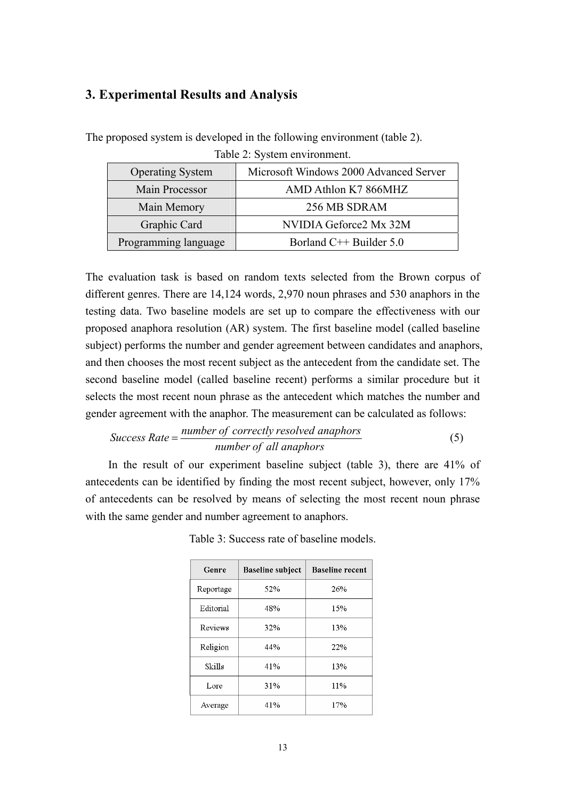# **3. Experimental Results and Analysis**

| <b>Operating System</b> | Microsoft Windows 2000 Advanced Server |  |  |  |
|-------------------------|----------------------------------------|--|--|--|
| Main Processor          | AMD Athlon K7 866MHZ                   |  |  |  |
| Main Memory             | 256 MB SDRAM                           |  |  |  |
| Graphic Card            | NVIDIA Geforce2 Mx 32M                 |  |  |  |
| Programming language    | Borland C <sup>++</sup> Builder 5.0    |  |  |  |

The proposed system is developed in the following environment (table 2).

| Table 2: System environment. |  |  |
|------------------------------|--|--|

The evaluation task is based on random texts selected from the Brown corpus of different genres. There are 14,124 words, 2,970 noun phrases and 530 anaphors in the testing data. Two baseline models are set up to compare the effectiveness with our proposed anaphora resolution (AR) system. The first baseline model (called baseline subject) performs the number and gender agreement between candidates and anaphors, and then chooses the most recent subject as the antecedent from the candidate set. The second baseline model (called baseline recent) performs a similar procedure but it selects the most recent noun phrase as the antecedent which matches the number and gender agreement with the anaphor. The measurement can be calculated as follows:

$$
Success Rate = \frac{number\ of\ correctly\ resolved\ anaphors}{number\ of\ all\ anaphors}
$$
 (5)

In the result of our experiment baseline subject (table 3), there are 41% of antecedents can be identified by finding the most recent subject, however, only 17% of antecedents can be resolved by means of selecting the most recent noun phrase with the same gender and number agreement to anaphors.

| Genre     | Baseline subject | <b>Baseline recent</b> |
|-----------|------------------|------------------------|
| Reportage | 52%              | 26%                    |
| Editorial | 48%              | 15%                    |
| Reviews   | 32%              | 13%                    |
| Religion  | 44%              | 22%                    |
| Skills    | 41%              | 13%                    |
| Lore      | 31%              | 11%                    |
| Average   | 41%              | 17%                    |

Table 3: Success rate of baseline models.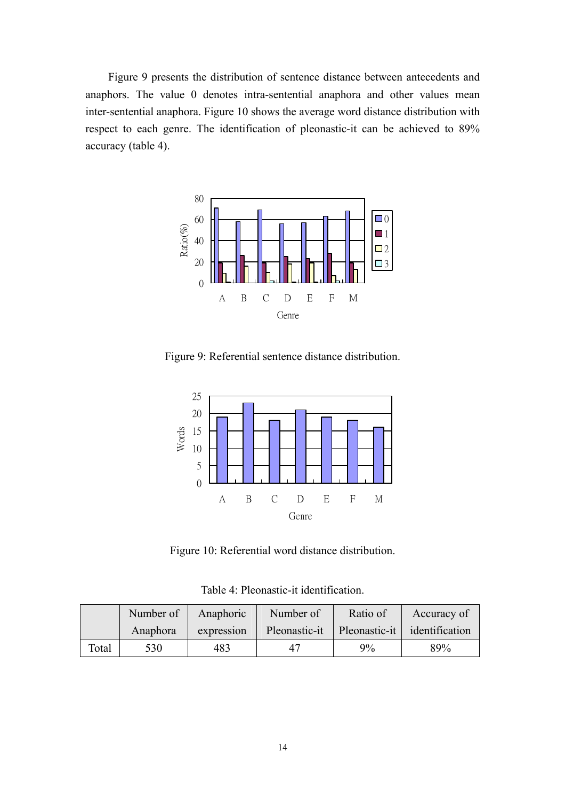Figure 9 presents the distribution of sentence distance between antecedents and anaphors. The value 0 denotes intra-sentential anaphora and other values mean inter-sentential anaphora. Figure 10 shows the average word distance distribution with respect to each genre. The identification of pleonastic-it can be achieved to 89% accuracy (table 4).



Figure 9: Referential sentence distance distribution.



Figure 10: Referential word distance distribution.

Table 4: Pleonastic-it identification.

|       | Number of | Anaphoric  | Number of     | Ratio of | Accuracy of                 |
|-------|-----------|------------|---------------|----------|-----------------------------|
|       | Anaphora  | expression | Pleonastic-it |          | Pleonastic-it dentification |
| Total | 530       | 483        | 47            | $9\%$    | 89%                         |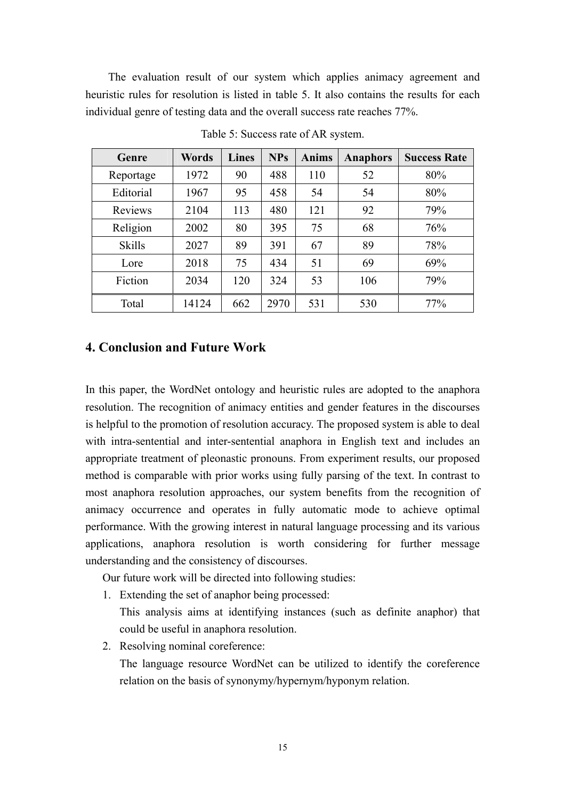The evaluation result of our system which applies animacy agreement and heuristic rules for resolution is listed in table 5. It also contains the results for each individual genre of testing data and the overall success rate reaches 77%.

| Genre         | Words | <b>Lines</b> | <b>NPs</b> | <b>Anims</b> | <b>Anaphors</b> | <b>Success Rate</b> |
|---------------|-------|--------------|------------|--------------|-----------------|---------------------|
| Reportage     | 1972  | 90           | 488        | 110          | 52              | 80%                 |
| Editorial     | 1967  | 95           | 458        | 54           | 54              | 80%                 |
| Reviews       | 2104  | 113          | 480        | 121          | 92              | 79%                 |
| Religion      | 2002  | 80           | 395        | 75           | 68              | 76%                 |
| <b>Skills</b> | 2027  | 89           | 391        | 67           | 89              | 78%                 |
| Lore          | 2018  | 75           | 434        | 51           | 69              | 69%                 |
| Fiction       | 2034  | 120          | 324        | 53           | 106             | 79%                 |
| Total         | 14124 | 662          | 2970       | 531          | 530             | 77%                 |

Table 5: Success rate of AR system.

## **4. Conclusion and Future Work**

In this paper, the WordNet ontology and heuristic rules are adopted to the anaphora resolution. The recognition of animacy entities and gender features in the discourses is helpful to the promotion of resolution accuracy. The proposed system is able to deal with intra-sentential and inter-sentential anaphora in English text and includes an appropriate treatment of pleonastic pronouns. From experiment results, our proposed method is comparable with prior works using fully parsing of the text. In contrast to most anaphora resolution approaches, our system benefits from the recognition of animacy occurrence and operates in fully automatic mode to achieve optimal performance. With the growing interest in natural language processing and its various applications, anaphora resolution is worth considering for further message understanding and the consistency of discourses.

Our future work will be directed into following studies:

- 1. Extending the set of anaphor being processed:
	- This analysis aims at identifying instances (such as definite anaphor) that could be useful in anaphora resolution.
- 2. Resolving nominal coreference: The language resource WordNet can be utilized to identify the coreference relation on the basis of synonymy/hypernym/hyponym relation.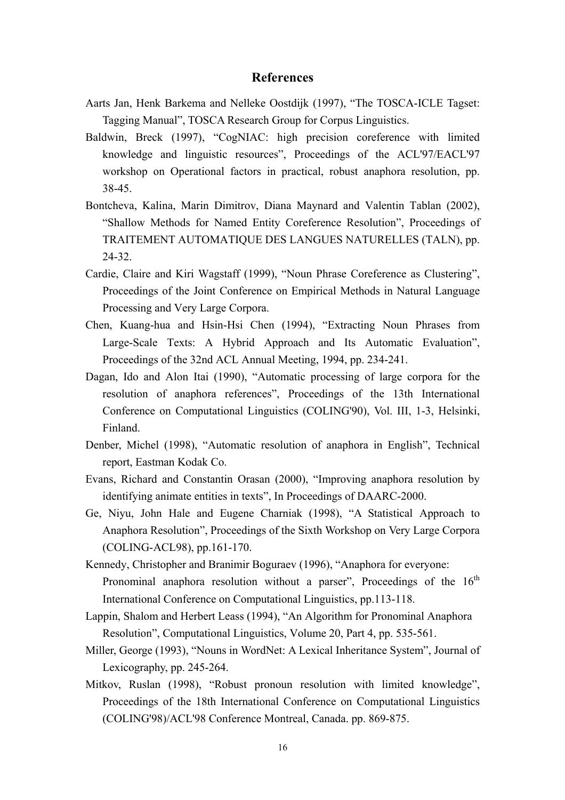### **References**

- Aarts Jan, Henk Barkema and Nelleke Oostdijk (1997), "The TOSCA-ICLE Tagset: Tagging Manual", TOSCA Research Group for Corpus Linguistics.
- Baldwin, Breck (1997), "CogNIAC: high precision coreference with limited knowledge and linguistic resources", Proceedings of the ACL'97/EACL'97 workshop on Operational factors in practical, robust anaphora resolution, pp. 38-45.
- Bontcheva, Kalina, Marin Dimitrov, Diana Maynard and Valentin Tablan (2002), "Shallow Methods for Named Entity Coreference Resolution", Proceedings of TRAITEMENT AUTOMATIQUE DES LANGUES NATURELLES (TALN), pp. 24-32.
- Cardie, Claire and Kiri Wagstaff (1999), "Noun Phrase Coreference as Clustering", Proceedings of the Joint Conference on Empirical Methods in Natural Language Processing and Very Large Corpora.
- Chen, Kuang-hua and Hsin-Hsi Chen (1994), "Extracting Noun Phrases from Large-Scale Texts: A Hybrid Approach and Its Automatic Evaluation", Proceedings of the 32nd ACL Annual Meeting, 1994, pp. 234-241.
- Dagan, Ido and Alon Itai (1990), "Automatic processing of large corpora for the resolution of anaphora references", Proceedings of the 13th International Conference on Computational Linguistics (COLING'90), Vol. III, 1-3, Helsinki, Finland.
- Denber, Michel (1998), "Automatic resolution of anaphora in English", Technical report, Eastman Kodak Co.
- Evans, Richard and Constantin Orasan (2000), "Improving anaphora resolution by identifying animate entities in texts", In Proceedings of DAARC-2000.
- Ge, Niyu, John Hale and Eugene Charniak (1998), "A Statistical Approach to Anaphora Resolution", Proceedings of the Sixth Workshop on Very Large Corpora (COLING-ACL98), pp.161-170.
- Kennedy, Christopher and Branimir Boguraev (1996), "Anaphora for everyone: Pronominal anaphora resolution without a parser", Proceedings of the  $16<sup>th</sup>$ International Conference on Computational Linguistics, pp.113-118.
- Lappin, Shalom and Herbert Leass (1994), "An Algorithm for Pronominal Anaphora Resolution", Computational Linguistics, Volume 20, Part 4, pp. 535-561.
- Miller, George (1993), "Nouns in WordNet: A Lexical Inheritance System", Journal of Lexicography, pp. 245-264.
- Mitkov, Ruslan (1998), "Robust pronoun resolution with limited knowledge", Proceedings of the 18th International Conference on Computational Linguistics (COLING'98)/ACL'98 Conference Montreal, Canada. pp. 869-875.